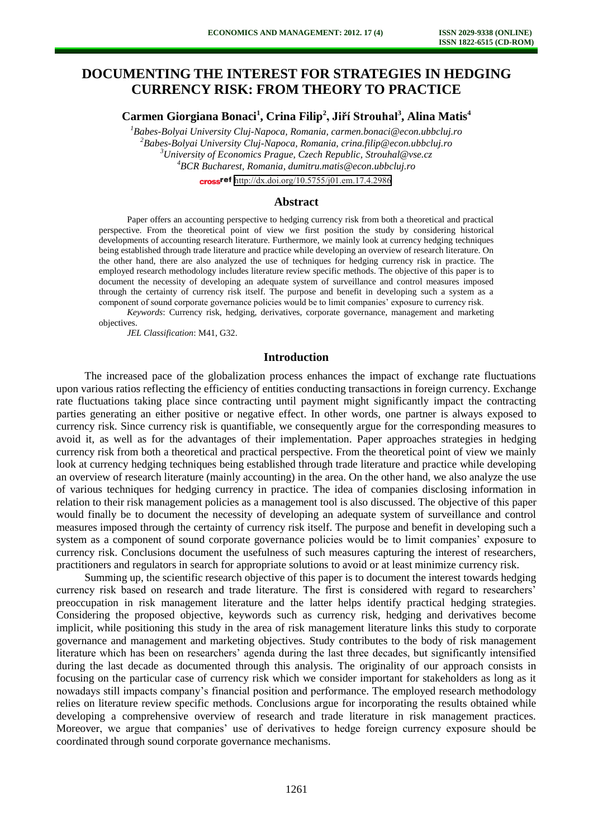# **DOCUMENTING THE INTEREST FOR STRATEGIES IN HEDGING CURRENCY RISK: FROM THEORY TO PRACTICE**

**Carmen Giorgiana Bonaci<sup>1</sup> , Crina Filip<sup>2</sup> , Jiří Strouhal<sup>3</sup> , Alina Matis<sup>4</sup>**

*Babes-Bolyai University Cluj-Napoca, Romania[, carmen.bonaci@econ.ubbcluj.ro](mailto:carmen.bonaci@econ.ubbcluj.ro) Babes-Bolyai University Cluj-Napoca, Romania, crina.filip@econ.ubbcluj.ro University of Economics Prague, Czech Republic, [Strouhal@vse.cz](mailto:Strouhal@vse.cz) BCR Bucharest, Romania, dumitru.matis@econ.ubbcluj.ro* 

cross<sup>ref</sup> <http://dx.doi.org/10.5755/j01.em.17.4.2986>

#### **Abstract**

Paper offers an accounting perspective to hedging currency risk from both a theoretical and practical perspective. From the theoretical point of view we first position the study by considering historical developments of accounting research literature. Furthermore, we mainly look at currency hedging techniques being established through trade literature and practice while developing an overview of research literature. On the other hand, there are also analyzed the use of techniques for hedging currency risk in practice. The employed research methodology includes literature review specific methods. The objective of this paper is to document the necessity of developing an adequate system of surveillance and control measures imposed through the certainty of currency risk itself. The purpose and benefit in developing such a system as a component of sound corporate governance policies would be to limit companies' exposure to currency risk.

*Keywords*: Currency risk, hedging, derivatives, corporate governance, management and marketing objectives.

*JEL Classification*: M41, G32.

### **Introduction**

The increased pace of the globalization process enhances the impact of exchange rate fluctuations upon various ratios reflecting the efficiency of entities conducting transactions in foreign currency. Exchange rate fluctuations taking place since contracting until payment might significantly impact the contracting parties generating an either positive or negative effect. In other words, one partner is always exposed to currency risk. Since currency risk is quantifiable, we consequently argue for the corresponding measures to avoid it, as well as for the advantages of their implementation. Paper approaches strategies in hedging currency risk from both a theoretical and practical perspective. From the theoretical point of view we mainly look at currency hedging techniques being established through trade literature and practice while developing an overview of research literature (mainly accounting) in the area. On the other hand, we also analyze the use of various techniques for hedging currency in practice. The idea of companies disclosing information in relation to their risk management policies as a management tool is also discussed. The objective of this paper would finally be to document the necessity of developing an adequate system of surveillance and control measures imposed through the certainty of currency risk itself. The purpose and benefit in developing such a system as a component of sound corporate governance policies would be to limit companies' exposure to currency risk. Conclusions document the usefulness of such measures capturing the interest of researchers, practitioners and regulators in search for appropriate solutions to avoid or at least minimize currency risk.

Summing up, the scientific research objective of this paper is to document the interest towards hedging currency risk based on research and trade literature. The first is considered with regard to researchers' preoccupation in risk management literature and the latter helps identify practical hedging strategies. Considering the proposed objective, keywords such as currency risk, hedging and derivatives become implicit, while positioning this study in the area of risk management literature links this study to corporate governance and management and marketing objectives. Study contributes to the body of risk management literature which has been on researchers' agenda during the last three decades, but significantly intensified during the last decade as documented through this analysis. The originality of our approach consists in focusing on the particular case of currency risk which we consider important for stakeholders as long as it nowadays still impacts company's financial position and performance. The employed research methodology relies on literature review specific methods. Conclusions argue for incorporating the results obtained while developing a comprehensive overview of research and trade literature in risk management practices. Moreover, we argue that companies' use of derivatives to hedge foreign currency exposure should be coordinated through sound corporate governance mechanisms.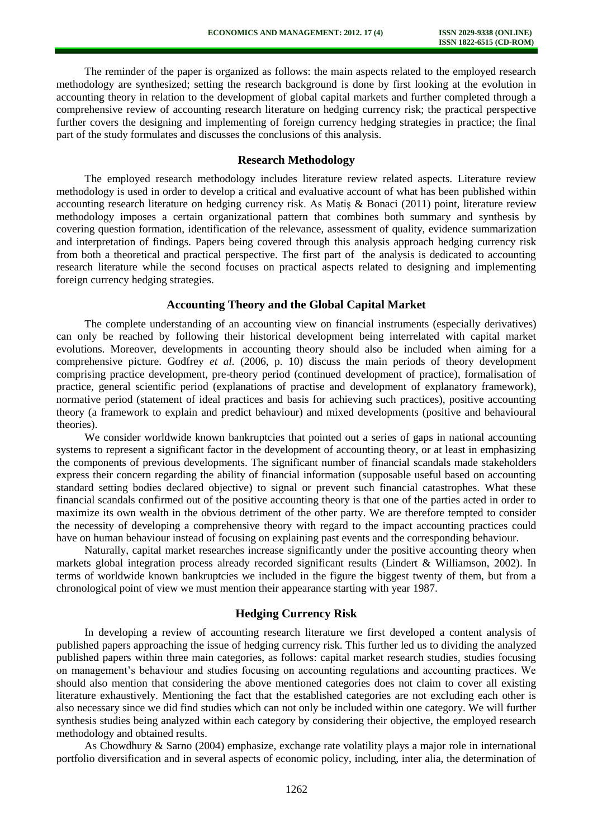The reminder of the paper is organized as follows: the main aspects related to the employed research methodology are synthesized; setting the research background is done by first looking at the evolution in accounting theory in relation to the development of global capital markets and further completed through a comprehensive review of accounting research literature on hedging currency risk; the practical perspective further covers the designing and implementing of foreign currency hedging strategies in practice; the final part of the study formulates and discusses the conclusions of this analysis.

## **Research Methodology**

The employed research methodology includes literature review related aspects. Literature review methodology is used in order to develop a critical and evaluative account of what has been published within accounting research literature on hedging currency risk. As Matiş & Bonaci (2011) point, literature review methodology imposes a certain organizational pattern that combines both summary and synthesis by covering question formation, identification of the relevance, assessment of quality, evidence summarization and interpretation of findings. Papers being covered through this analysis approach hedging currency risk from both a theoretical and practical perspective. The first part of the analysis is dedicated to accounting research literature while the second focuses on practical aspects related to designing and implementing foreign currency hedging strategies.

#### **Accounting Theory and the Global Capital Market**

The complete understanding of an accounting view on financial instruments (especially derivatives) can only be reached by following their historical development being interrelated with capital market evolutions. Moreover, developments in accounting theory should also be included when aiming for a comprehensive picture. Godfrey *et al.* (2006, p. 10) discuss the main periods of theory development comprising practice development, pre-theory period (continued development of practice), formalisation of practice, general scientific period (explanations of practise and development of explanatory framework), normative period (statement of ideal practices and basis for achieving such practices), positive accounting theory (a framework to explain and predict behaviour) and mixed developments (positive and behavioural theories).

We consider worldwide known bankruptcies that pointed out a series of gaps in national accounting systems to represent a significant factor in the development of accounting theory, or at least in emphasizing the components of previous developments. The significant number of financial scandals made stakeholders express their concern regarding the ability of financial information (supposable useful based on accounting standard setting bodies declared objective) to signal or prevent such financial catastrophes. What these financial scandals confirmed out of the positive accounting theory is that one of the parties acted in order to maximize its own wealth in the obvious detriment of the other party. We are therefore tempted to consider the necessity of developing a comprehensive theory with regard to the impact accounting practices could have on human behaviour instead of focusing on explaining past events and the corresponding behaviour.

Naturally, capital market researches increase significantly under the positive accounting theory when markets global integration process already recorded significant results (Lindert & Williamson, 2002). In terms of worldwide known bankruptcies we included in the figure the biggest twenty of them, but from a chronological point of view we must mention their appearance starting with year 1987.

## **Hedging Currency Risk**

In developing a review of accounting research literature we first developed a content analysis of published papers approaching the issue of hedging currency risk. This further led us to dividing the analyzed published papers within three main categories, as follows: capital market research studies, studies focusing on management's behaviour and studies focusing on accounting regulations and accounting practices. We should also mention that considering the above mentioned categories does not claim to cover all existing literature exhaustively. Mentioning the fact that the established categories are not excluding each other is also necessary since we did find studies which can not only be included within one category. We will further synthesis studies being analyzed within each category by considering their objective, the employed research methodology and obtained results.

As Chowdhury & Sarno (2004) emphasize, exchange rate volatility plays a major role in international portfolio diversification and in several aspects of economic policy, including, inter alia, the determination of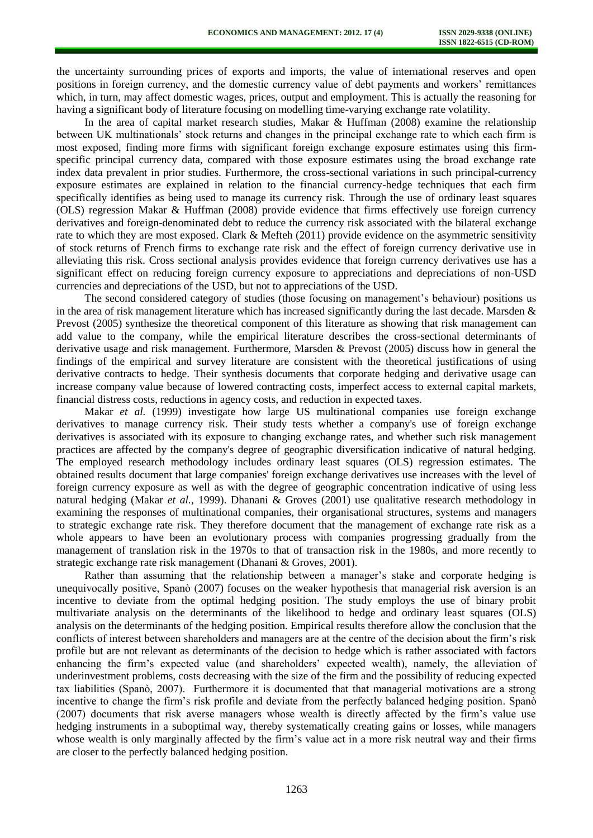the uncertainty surrounding prices of exports and imports, the value of international reserves and open positions in foreign currency, and the domestic currency value of debt payments and workers' remittances which, in turn, may affect domestic wages, prices, output and employment. This is actually the reasoning for having a significant body of literature focusing on modelling time-varying exchange rate volatility.

In the area of capital market research studies, Makar & Huffman (2008) examine the relationship between UK multinationals' stock returns and changes in the principal exchange rate to which each firm is most exposed, finding more firms with significant foreign exchange exposure estimates using this firmspecific principal currency data, compared with those exposure estimates using the broad exchange rate index data prevalent in prior studies. Furthermore, the cross-sectional variations in such principal-currency exposure estimates are explained in relation to the financial currency-hedge techniques that each firm specifically identifies as being used to manage its currency risk. Through the use of ordinary least squares (OLS) regression Makar & Huffman (2008) provide evidence that firms effectively use foreign currency derivatives and foreign-denominated debt to reduce the currency risk associated with the bilateral exchange rate to which they are most exposed. Clark & Mefteh (2011) provide evidence on the asymmetric sensitivity of stock returns of French firms to exchange rate risk and the effect of foreign currency derivative use in alleviating this risk. Cross sectional analysis provides evidence that foreign currency derivatives use has a significant effect on reducing foreign currency exposure to appreciations and depreciations of non-USD currencies and depreciations of the USD, but not to appreciations of the USD.

The second considered category of studies (those focusing on management's behaviour) positions us in the area of risk management literature which has increased significantly during the last decade. Marsden & Prevost (2005) synthesize the theoretical component of this literature as showing that risk management can add value to the company, while the empirical literature describes the cross-sectional determinants of derivative usage and risk management. Furthermore, Marsden & Prevost (2005) discuss how in general the findings of the empirical and survey literature are consistent with the theoretical justifications of using derivative contracts to hedge. Their synthesis documents that corporate hedging and derivative usage can increase company value because of lowered contracting costs, imperfect access to external capital markets, financial distress costs, reductions in agency costs, and reduction in expected taxes.

Makar *et al.* (1999) investigate how large US multinational companies use foreign exchange derivatives to manage currency risk. Their study tests whether a company's use of foreign exchange derivatives is associated with its exposure to changing exchange rates, and whether such risk management practices are affected by the company's degree of geographic diversification indicative of natural hedging. The employed research methodology includes ordinary least squares (OLS) regression estimates. The obtained results document that large companies' foreign exchange derivatives use increases with the level of foreign currency exposure as well as with the degree of geographic concentration indicative of using less natural hedging (Makar *et al.*, 1999). Dhanani & Groves (2001) use qualitative research methodology in examining the responses of multinational companies, their organisational structures, systems and managers to strategic exchange rate risk. They therefore document that the management of exchange rate risk as a whole appears to have been an evolutionary process with companies progressing gradually from the management of translation risk in the 1970s to that of transaction risk in the 1980s, and more recently to strategic exchange rate risk management (Dhanani & Groves, 2001).

Rather than assuming that the relationship between a manager's stake and corporate hedging is unequivocally positive, Spanò (2007) focuses on the weaker hypothesis that managerial risk aversion is an incentive to deviate from the optimal hedging position. The study employs the use of binary probit multivariate analysis on the determinants of the likelihood to hedge and ordinary least squares (OLS) analysis on the determinants of the hedging position. Empirical results therefore allow the conclusion that the conflicts of interest between shareholders and managers are at the centre of the decision about the firm's risk profile but are not relevant as determinants of the decision to hedge which is rather associated with factors enhancing the firm's expected value (and shareholders' expected wealth), namely, the alleviation of underinvestment problems, costs decreasing with the size of the firm and the possibility of reducing expected tax liabilities (Spanò, 2007). Furthermore it is documented that that managerial motivations are a strong incentive to change the firm's risk profile and deviate from the perfectly balanced hedging position. Spanò (2007) documents that risk averse managers whose wealth is directly affected by the firm's value use hedging instruments in a suboptimal way, thereby systematically creating gains or losses, while managers whose wealth is only marginally affected by the firm's value act in a more risk neutral way and their firms are closer to the perfectly balanced hedging position.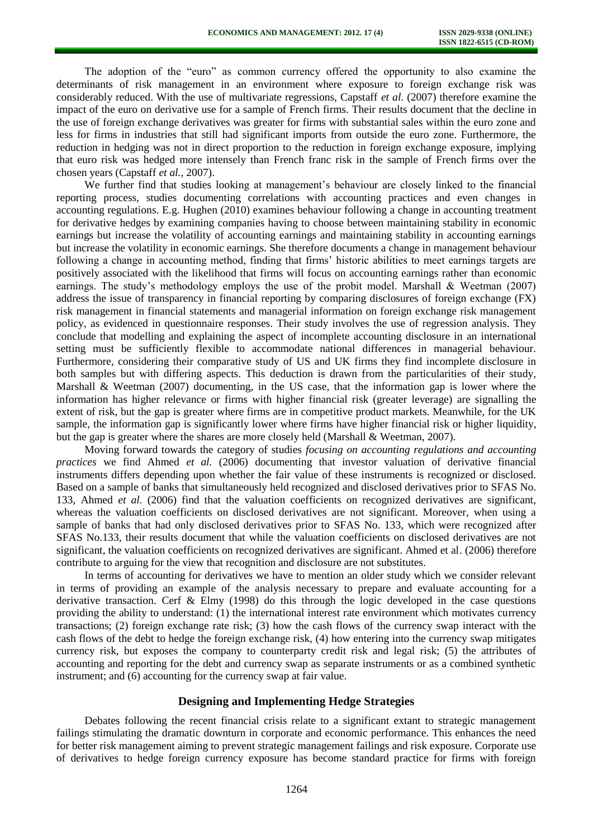The adoption of the "euro" as common currency offered the opportunity to also examine the determinants of risk management in an environment where exposure to foreign exchange risk was considerably reduced. With the use of multivariate regressions, Capstaff *et al.* (2007) therefore examine the impact of the euro on derivative use for a sample of French firms. Their results document that the decline in the use of foreign exchange derivatives was greater for firms with substantial sales within the euro zone and less for firms in industries that still had significant imports from outside the euro zone. Furthermore, the reduction in hedging was not in direct proportion to the reduction in foreign exchange exposure, implying that euro risk was hedged more intensely than French franc risk in the sample of French firms over the chosen years (Capstaff *et al.*, 2007).

We further find that studies looking at management's behaviour are closely linked to the financial reporting process, studies documenting correlations with accounting practices and even changes in accounting regulations. E.g. Hughen (2010) examines behaviour following a change in accounting treatment for derivative hedges by examining companies having to choose between maintaining stability in economic earnings but increase the volatility of accounting earnings and maintaining stability in accounting earnings but increase the volatility in economic earnings. She therefore documents a change in management behaviour following a change in accounting method, finding that firms' historic abilities to meet earnings targets are positively associated with the likelihood that firms will focus on accounting earnings rather than economic earnings. The study's methodology employs the use of the probit model. Marshall & Weetman (2007) address the issue of transparency in financial reporting by comparing disclosures of foreign exchange (FX) risk management in financial statements and managerial information on foreign exchange risk management policy, as evidenced in questionnaire responses. Their study involves the use of regression analysis. They conclude that modelling and explaining the aspect of incomplete accounting disclosure in an international setting must be sufficiently flexible to accommodate national differences in managerial behaviour. Furthermore, considering their comparative study of US and UK firms they find incomplete disclosure in both samples but with differing aspects. This deduction is drawn from the particularities of their study, Marshall & Weetman (2007) documenting, in the US case, that the information gap is lower where the information has higher relevance or firms with higher financial risk (greater leverage) are signalling the extent of risk, but the gap is greater where firms are in competitive product markets. Meanwhile, for the UK sample, the information gap is significantly lower where firms have higher financial risk or higher liquidity, but the gap is greater where the shares are more closely held (Marshall & Weetman, 2007).

Moving forward towards the category of studies *focusing on accounting regulations and accounting practices* we find Ahmed *et al.* (2006) documenting that investor valuation of derivative financial instruments differs depending upon whether the fair value of these instruments is recognized or disclosed. Based on a sample of banks that simultaneously held recognized and disclosed derivatives prior to SFAS No. 133, Ahmed *et al.* (2006) find that the valuation coefficients on recognized derivatives are significant, whereas the valuation coefficients on disclosed derivatives are not significant. Moreover, when using a sample of banks that had only disclosed derivatives prior to SFAS No. 133, which were recognized after SFAS No.133, their results document that while the valuation coefficients on disclosed derivatives are not significant, the valuation coefficients on recognized derivatives are significant. Ahmed et al. (2006) therefore contribute to arguing for the view that recognition and disclosure are not substitutes.

In terms of accounting for derivatives we have to mention an older study which we consider relevant in terms of providing an example of the analysis necessary to prepare and evaluate accounting for a derivative transaction. Cerf  $\&$  Elmy (1998) do this through the logic developed in the case questions providing the ability to understand: (1) the international interest rate environment which motivates currency transactions; (2) foreign exchange rate risk; (3) how the cash flows of the currency swap interact with the cash flows of the debt to hedge the foreign exchange risk, (4) how entering into the currency swap mitigates currency risk, but exposes the company to counterparty credit risk and legal risk; (5) the attributes of accounting and reporting for the debt and currency swap as separate instruments or as a combined synthetic instrument; and (6) accounting for the currency swap at fair value.

## **Designing and Implementing Hedge Strategies**

Debates following the recent financial crisis relate to a significant extant to strategic management failings stimulating the dramatic downturn in corporate and economic performance. This enhances the need for better risk management aiming to prevent strategic management failings and risk exposure. Corporate use of derivatives to hedge foreign currency exposure has become standard practice for firms with foreign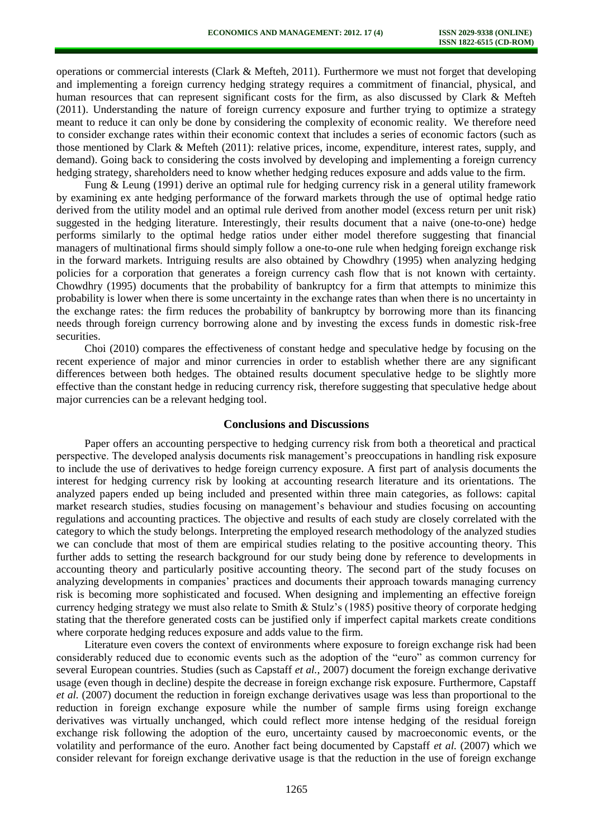operations or commercial interests (Clark & Mefteh, 2011). Furthermore we must not forget that developing and implementing a foreign currency hedging strategy requires a commitment of financial, physical, and human resources that can represent significant costs for the firm, as also discussed by Clark & Mefteh (2011). Understanding the nature of foreign currency exposure and further trying to optimize a strategy meant to reduce it can only be done by considering the complexity of economic reality. We therefore need to consider exchange rates within their economic context that includes a series of economic factors (such as those mentioned by Clark & Mefteh (2011): relative prices, income, expenditure, interest rates, supply, and demand). Going back to considering the costs involved by developing and implementing a foreign currency hedging strategy, shareholders need to know whether hedging reduces exposure and adds value to the firm.

Fung & Leung (1991) derive an optimal rule for hedging currency risk in a general utility framework by examining ex ante hedging performance of the forward markets through the use of optimal hedge ratio derived from the utility model and an optimal rule derived from another model (excess return per unit risk) suggested in the hedging literature. Interestingly, their results document that a naive (one-to-one) hedge performs similarly to the optimal hedge ratios under either model therefore suggesting that financial managers of multinational firms should simply follow a one-to-one rule when hedging foreign exchange risk in the forward markets. Intriguing results are also obtained by Chowdhry (1995) when analyzing hedging policies for a corporation that generates a foreign currency cash flow that is not known with certainty. Chowdhry (1995) documents that the probability of bankruptcy for a firm that attempts to minimize this probability is lower when there is some uncertainty in the exchange rates than when there is no uncertainty in the exchange rates: the firm reduces the probability of bankruptcy by borrowing more than its financing needs through foreign currency borrowing alone and by investing the excess funds in domestic risk-free securities.

Choi (2010) compares the effectiveness of constant hedge and speculative hedge by focusing on the recent experience of major and minor currencies in order to establish whether there are any significant differences between both hedges. The obtained results document speculative hedge to be slightly more effective than the constant hedge in reducing currency risk, therefore suggesting that speculative hedge about major currencies can be a relevant hedging tool.

## **Conclusions and Discussions**

Paper offers an accounting perspective to hedging currency risk from both a theoretical and practical perspective. The developed analysis documents risk management's preoccupations in handling risk exposure to include the use of derivatives to hedge foreign currency exposure. A first part of analysis documents the interest for hedging currency risk by looking at accounting research literature and its orientations. The analyzed papers ended up being included and presented within three main categories, as follows: capital market research studies, studies focusing on management's behaviour and studies focusing on accounting regulations and accounting practices. The objective and results of each study are closely correlated with the category to which the study belongs. Interpreting the employed research methodology of the analyzed studies we can conclude that most of them are empirical studies relating to the positive accounting theory. This further adds to setting the research background for our study being done by reference to developments in accounting theory and particularly positive accounting theory. The second part of the study focuses on analyzing developments in companies' practices and documents their approach towards managing currency risk is becoming more sophisticated and focused. When designing and implementing an effective foreign currency hedging strategy we must also relate to Smith & Stulz's (1985) positive theory of corporate hedging stating that the therefore generated costs can be justified only if imperfect capital markets create conditions where corporate hedging reduces exposure and adds value to the firm.

Literature even covers the context of environments where exposure to foreign exchange risk had been considerably reduced due to economic events such as the adoption of the "euro" as common currency for several European countries. Studies (such as Capstaff *et al.*, 2007) document the foreign exchange derivative usage (even though in decline) despite the decrease in foreign exchange risk exposure. Furthermore, Capstaff *et al.* (2007) document the reduction in foreign exchange derivatives usage was less than proportional to the reduction in foreign exchange exposure while the number of sample firms using foreign exchange derivatives was virtually unchanged, which could reflect more intense hedging of the residual foreign exchange risk following the adoption of the euro, uncertainty caused by macroeconomic events, or the volatility and performance of the euro. Another fact being documented by Capstaff *et al.* (2007) which we consider relevant for foreign exchange derivative usage is that the reduction in the use of foreign exchange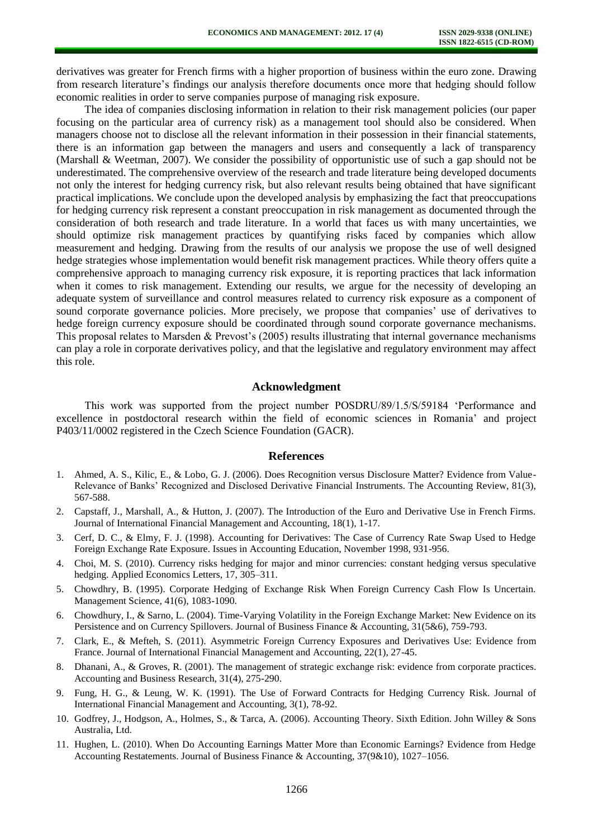derivatives was greater for French firms with a higher proportion of business within the euro zone. Drawing from research literature's findings our analysis therefore documents once more that hedging should follow economic realities in order to serve companies purpose of managing risk exposure.

The idea of companies disclosing information in relation to their risk management policies (our paper focusing on the particular area of currency risk) as a management tool should also be considered. When managers choose not to disclose all the relevant information in their possession in their financial statements, there is an information gap between the managers and users and consequently a lack of transparency (Marshall & Weetman, 2007). We consider the possibility of opportunistic use of such a gap should not be underestimated. The comprehensive overview of the research and trade literature being developed documents not only the interest for hedging currency risk, but also relevant results being obtained that have significant practical implications. We conclude upon the developed analysis by emphasizing the fact that preoccupations for hedging currency risk represent a constant preoccupation in risk management as documented through the consideration of both research and trade literature. In a world that faces us with many uncertainties, we should optimize risk management practices by quantifying risks faced by companies which allow measurement and hedging. Drawing from the results of our analysis we propose the use of well designed hedge strategies whose implementation would benefit risk management practices. While theory offers quite a comprehensive approach to managing currency risk exposure, it is reporting practices that lack information when it comes to risk management. Extending our results, we argue for the necessity of developing an adequate system of surveillance and control measures related to currency risk exposure as a component of sound corporate governance policies. More precisely, we propose that companies' use of derivatives to hedge foreign currency exposure should be coordinated through sound corporate governance mechanisms. This proposal relates to Marsden & Prevost's (2005) results illustrating that internal governance mechanisms can play a role in corporate derivatives policy, and that the legislative and regulatory environment may affect this role.

# **Acknowledgment**

This work was supported from the project number POSDRU/89/1.5/S/59184 'Performance and excellence in postdoctoral research within the field of economic sciences in Romania' and project P403/11/0002 registered in the Czech Science Foundation (GACR).

#### **References**

- 1. Ahmed, A. S., Kilic, E., & Lobo, G. J. (2006). Does Recognition versus Disclosure Matter? Evidence from Value-Relevance of Banks' Recognized and Disclosed Derivative Financial Instruments. The Accounting Review, 81(3), 567-588.
- 2. Capstaff, J., Marshall, A., & Hutton, J. (2007). The Introduction of the Euro and Derivative Use in French Firms. Journal of International Financial Management and Accounting, 18(1), 1-17.
- 3. Cerf, D. C., & Elmy, F. J. (1998). Accounting for Derivatives: The Case of Currency Rate Swap Used to Hedge Foreign Exchange Rate Exposure. Issues in Accounting Education, November 1998, 931-956.
- 4. Choi, M. S. (2010). Currency risks hedging for major and minor currencies: constant hedging versus speculative hedging. Applied Economics Letters, 17, 305–311.
- 5. Chowdhry, B. (1995). Corporate Hedging of Exchange Risk When Foreign Currency Cash Flow Is Uncertain. Management Science, 41(6), 1083-1090.
- 6. Chowdhury, I., & Sarno, L. (2004). Time-Varying Volatility in the Foreign Exchange Market: New Evidence on its Persistence and on Currency Spillovers. Journal of Business Finance & Accounting, 31(5&6), 759-793.
- 7. Clark, E., & Mefteh, S. (2011). Asymmetric Foreign Currency Exposures and Derivatives Use: Evidence from France. Journal of International Financial Management and Accounting, 22(1), 27-45.
- 8. Dhanani, A., & Groves, R. (2001). The management of strategic exchange risk: evidence from corporate practices. Accounting and Business Research, 31(4), 275-290.
- 9. Fung, H. G., & Leung, W. K. (1991). The Use of Forward Contracts for Hedging Currency Risk. Journal of International Financial Management and Accounting, 3(1), 78-92.
- 10. Godfrey, J., Hodgson, A., Holmes, S., & Tarca, A. (2006). Accounting Theory. Sixth Edition. John Willey & Sons Australia, Ltd.
- 11. Hughen, L. (2010). When Do Accounting Earnings Matter More than Economic Earnings? Evidence from Hedge Accounting Restatements. Journal of Business Finance & Accounting, 37(9&10), 1027–1056.